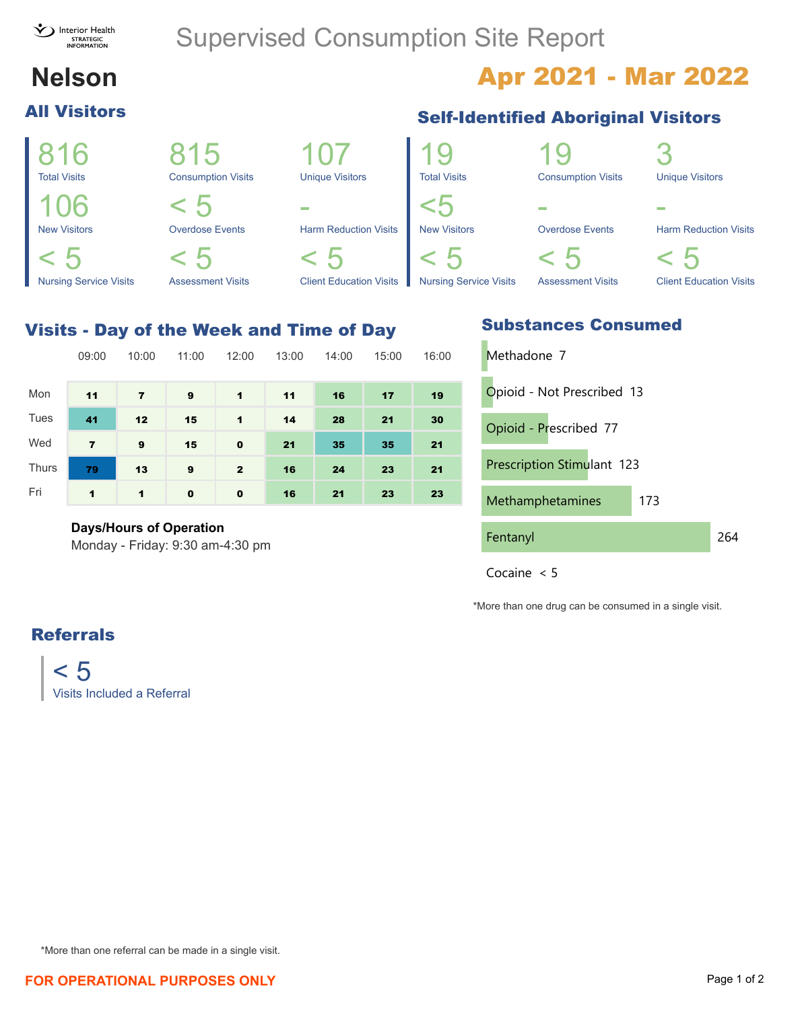

## Supervised Consumption Site Report

# **All Visitors**

# **Nelson Apr 2021 - Mar 2022**

#### 816 Total Visits 815 Consumption Visits 107 Unique Visitors 106 New Visitors  $< 5$ Overdose Events - Harm Reduction Visits  $< 5$ Nursing Service Visits < 5 Assessment Visits  $\lt$ Client Education Visits 19 Total Visits 19 Consumption Visits 3 Unique Visitors <5 New Visitors - Overdose Events - Harm Reduction Visits  $\lt$  $\,<\,$  $\,<\,$

#### Visits - Day of the Week and Time of Day

|              | 09:00          | 10:00          | 11:00    | 12:00        | 13:00 | 14:00 | 15:00 | 16:00 |
|--------------|----------------|----------------|----------|--------------|-------|-------|-------|-------|
| Mon          | 11             | $\overline{7}$ | 9        | $\mathbf 1$  | 11    | 16    | 17    | 19    |
| Tues         | 41             | 12             | 15       | $\mathbf 1$  | 14    | 28    | 21    | 30    |
| Wed          | $\overline{7}$ | 9              | 15       | $\mathbf 0$  | 21    | 35    | 35    | 21    |
| <b>Thurs</b> | 79             | 13             | 9        | $\mathbf{2}$ | 16    | 24    | 23    | 21    |
| Fri          | 1              | $\mathbf{1}$   | $\bf{0}$ | $\mathbf 0$  | 16    | 21    | 23    | 23    |

#### **Days/Hours of Operation**

0.00 15.80 31.60 47.40 63.20 79.00 Monday - Friday: 9:30 am-4:30 pm

#### **Self-Identified Aboriginal Visitors**







\*More than one drug can be consumed in a single visit.

### Referrals

 $< 5$ Visits Included a Referral